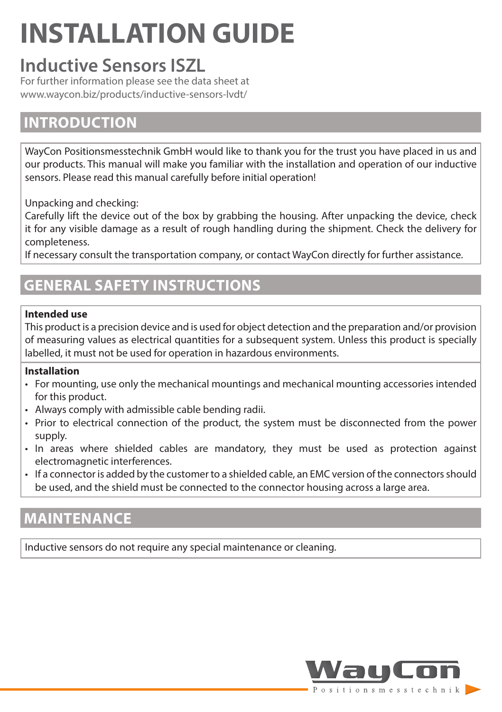# **INSTALLATION GUIDE**

# **Inductive Sensors ISZL**

For further information please see the data sheet at www.waycon.biz/products/inductive-sensors-lvdt/

## **INTRODUCTION**

WayCon Positionsmesstechnik GmbH would like to thank you for the trust you have placed in us and our products. This manual will make you familiar with the installation and operation of our inductive sensors. Please read this manual carefully before initial operation!

Unpacking and checking:

Carefully lift the device out of the box by grabbing the housing. After unpacking the device, check it for any visible damage as a result of rough handling during the shipment. Check the delivery for completeness.

If necessary consult the transportation company, or contact WayCon directly for further assistance.

# **GENERAL SAFETY INSTRUCTIONS**

#### **Intended use**

This product is a precision device and is used for object detection and the preparation and/or provision of measuring values as electrical quantities for a subsequent system. Unless this product is specially labelled, it must not be used for operation in hazardous environments.

#### **Installation**

- For mounting, use only the mechanical mountings and mechanical mounting accessories intended for this product.
- Always comply with admissible cable bending radii.
- Prior to electrical connection of the product, the system must be disconnected from the power supply.
- In areas where shielded cables are mandatory, they must be used as protection against electromagnetic interferences.
- If a connector is added by the customer to a shielded cable, an EMC version of the connectors should be used, and the shield must be connected to the connector housing across a large area.

## **MAINTENANCE**

Inductive sensors do not require any special maintenance or cleaning.

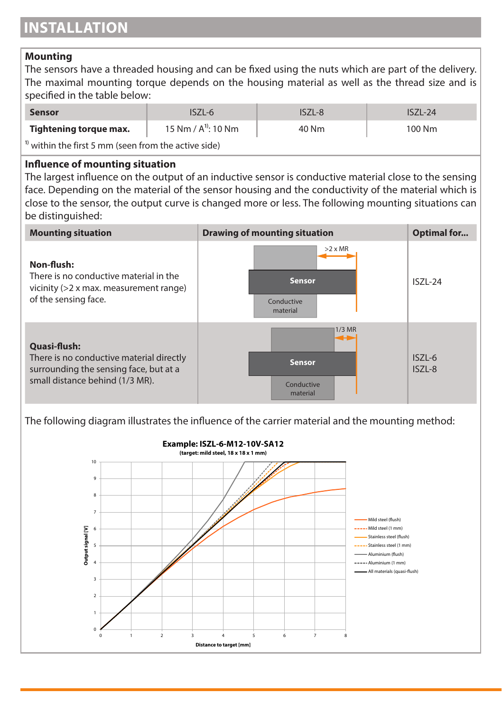#### **Mounting**

The sensors have a threaded housing and can be fixed using the nuts which are part of the delivery. The maximal mounting torque depends on the housing material as well as the thread size and is specified in the table below:

| Sensor                                                          | ISZL-6                  | ISZL-8 | $ISZL-24$ |  |  |
|-----------------------------------------------------------------|-------------------------|--------|-----------|--|--|
| Tightening torque max.                                          | 15 Nm / $A^{1}$ : 10 Nm | 40 Nm  | 100 Nm    |  |  |
| <sup>1)</sup> within the first 5 mm (seen from the active side) |                         |        |           |  |  |

#### **Influence of mounting situation**

The largest influence on the output of an inductive sensor is conductive material close to the sensing face. Depending on the material of the sensor housing and the conductivity of the material which is close to the sensor, the output curve is changed more or less. The following mounting situations can be distinguished:

| <b>Mounting situation</b>                                                                                                             | <b>Drawing of mounting situation</b>                      | Optimal for      |
|---------------------------------------------------------------------------------------------------------------------------------------|-----------------------------------------------------------|------------------|
| Non-flush:<br>There is no conductive material in the<br>vicinity $(>2 x \text{ max. measurement range})$<br>of the sensing face.      | $>2 \times MR$<br><b>Sensor</b><br>Conductive<br>material | $ISZL-24$        |
| Quasi-flush:<br>There is no conductive material directly<br>surrounding the sensing face, but at a<br>small distance behind (1/3 MR). | $1/3$ MR<br>↔<br><b>Sensor</b><br>Conductive<br>material  | ISZL-6<br>ISZL-8 |

The following diagram illustrates the influence of the carrier material and the mounting method:

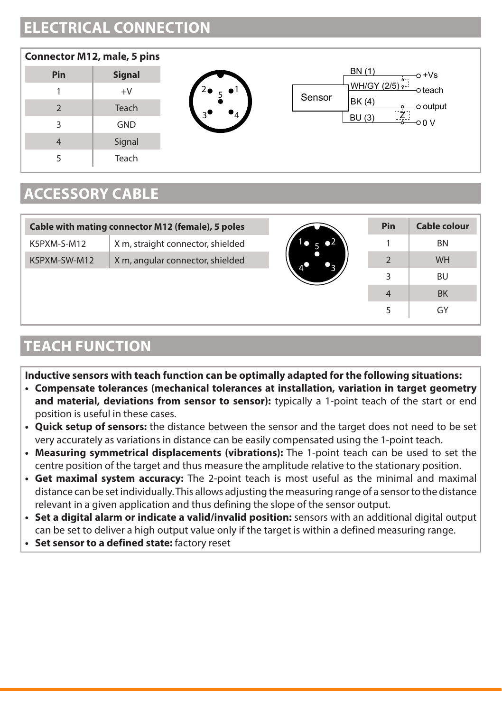# **ELECTRICAL CONNECTION**



# **ACCESSORY CABLE**

|              | Cable with mating connector M12 (female), 5 poles |                        |                | Pin |
|--------------|---------------------------------------------------|------------------------|----------------|-----|
| K5PXM-S-M12  | X m, straight connector, shielded                 | $\bullet$ <sup>2</sup> |                |     |
| K5PXM-SW-M12 | X m, angular connector, shielded                  |                        |                |     |
|              |                                                   |                        | 3              |     |
|              |                                                   |                        | $\overline{4}$ |     |
|              |                                                   |                        |                |     |

### **TEACH FUNCTION**

**Inductive sensors with teach function can be optimally adapted for the following situations:**

- **• Compensate tolerances (mechanical tolerances at installation, variation in target geometry and material, deviations from sensor to sensor):** typically a 1-point teach of the start or end position is useful in these cases.
- **• Quick setup of sensors:** the distance between the sensor and the target does not need to be set very accurately as variations in distance can be easily compensated using the 1-point teach.
- **• Measuring symmetrical displacements (vibrations):** The 1-point teach can be used to set the centre position of the target and thus measure the amplitude relative to the stationary position.
- **• Get maximal system accuracy:** The 2-point teach is most useful as the minimal and maximal distance can be set individually. This allows adjusting the measuring range of a sensor to the distance relevant in a given application and thus defining the slope of the sensor output.
- **• Set a digital alarm or indicate a valid/invalid position:** sensors with an additional digital output can be set to deliver a high output value only if the target is within a defined measuring range.
- **• Set sensor to a defined state:** factory reset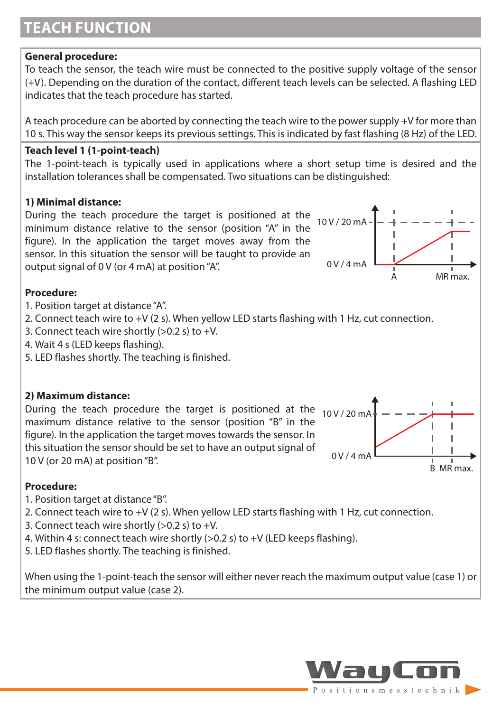# **TEACH FUNCTION**

#### **General procedure:**

To teach the sensor, the teach wire must be connected to the positive supply voltage of the sensor (+V). Depending on the duration of the contact, different teach levels can be selected. A flashing LED indicates that the teach procedure has started.

A teach procedure can be aborted by connecting the teach wire to the power supply +V for more than 10 s. This way the sensor keeps its previous settings. This is indicated by fast flashing (8 Hz) of the LED.

#### **Teach level 1 (1-point-teach)**

The 1-point-teach is typically used in applications where a short setup time is desired and the installation tolerances shall be compensated. Two situations can be distinguished:

#### **1) Minimal distance:**

During the teach procedure the target is positioned at the minimum distance relative to the sensor (position "A" in the figure). In the application the target moves away from the sensor. In this situation the sensor will be taught to provide an output signal of 0 V (or 4 mA) at position "A".



#### **Procedure:**

- 1. Position target at distance "A".
- 2. Connect teach wire to +V (2 s). When yellow LED starts flashing with 1 Hz, cut connection.
- 3. Connect teach wire shortly  $(>0.2 s)$  to +V.
- 4. Wait 4 s (LED keeps flashing).
- 5. LED flashes shortly. The teaching is finished.

#### **2) Maximum distance:**

During the teach procedure the target is positioned at the 10V/20 mA maximum distance relative to the sensor (position "B" in the figure). In the application the target moves towards the sensor. In this situation the sensor should be set to have an output signal of 10 V (or 20 mA) at position "B".



#### **Procedure:**

- 1. Position target at distance "B".
- 2. Connect teach wire to +V (2 s). When yellow LED starts flashing with 1 Hz, cut connection.
- 3. Connect teach wire shortly  $(>0.2 s)$  to  $+V$ .
- 4. Within 4 s: connect teach wire shortly (>0.2 s) to +V (LED keeps flashing).
- 5. LED flashes shortly. The teaching is finished.

When using the 1-point-teach the sensor will either never reach the maximum output value (case 1) or the minimum output value (case 2).

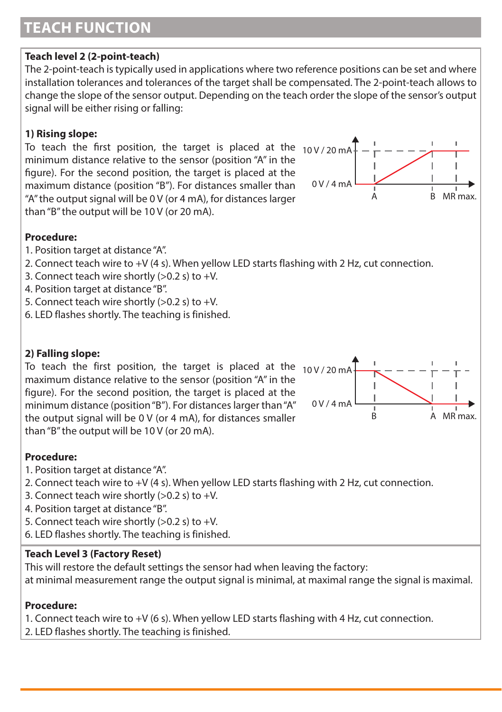# **TEACH FUNCTION**

#### **Teach level 2 (2-point-teach)**

The 2-point-teach is typically used in applications where two reference positions can be set and where installation tolerances and tolerances of the target shall be compensated. The 2-point-teach allows to change the slope of the sensor output. Depending on the teach order the slope of the sensor's output signal will be either rising or falling:

#### **1) Rising slope:**

To teach the first position, the target is placed at the  $_{10}$ V/20 mA minimum distance relative to the sensor (position "A" in the figure). For the second position, the target is placed at the maximum distance (position "B"). For distances smaller than "A" the output signal will be 0 V (or 4 mA), for distances larger than "B" the output will be 10 V (or 20 mA).



#### **Procedure:**

- 1. Position target at distance "A".
- 2. Connect teach wire to +V (4 s). When yellow LED starts flashing with 2 Hz, cut connection.
- 3. Connect teach wire shortly  $(>0.2 s)$  to  $+V$ .
- 4. Position target at distance "B".
- 5. Connect teach wire shortly  $(>0.2 s)$  to  $+V$ .
- 6. LED flashes shortly. The teaching is finished.

#### **2) Falling slope:**

To teach the first position, the target is placed at the  $10V/20mA$ maximum distance relative to the sensor (position "A" in the figure). For the second position, the target is placed at the minimum distance (position "B"). For distances larger than "A" the output signal will be 0 V (or 4 mA), for distances smaller than "B" the output will be 10 V (or 20 mA).



#### **Procedure:**

- 1. Position target at distance "A".
- 2. Connect teach wire to +V (4 s). When yellow LED starts flashing with 2 Hz, cut connection.
- 3. Connect teach wire shortly  $(>0.2 s)$  to  $+V$ .
- 4. Position target at distance "B".
- 5. Connect teach wire shortly  $(>0.2 s)$  to  $+V$ .
- 6. LED flashes shortly. The teaching is finished.

#### **Teach Level 3 (Factory Reset)**

This will restore the default settings the sensor had when leaving the factory:

at minimal measurement range the output signal is minimal, at maximal range the signal is maximal.

#### **Procedure:**

- 1. Connect teach wire to +V (6 s). When yellow LED starts flashing with 4 Hz, cut connection.
- 2. LED flashes shortly. The teaching is finished.